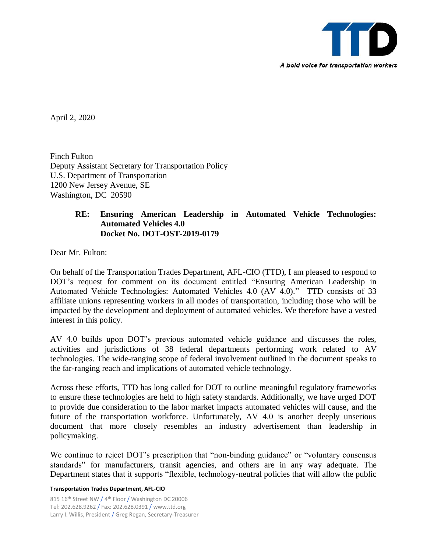

April 2, 2020

Finch Fulton Deputy Assistant Secretary for Transportation Policy U.S. Department of Transportation 1200 New Jersey Avenue, SE Washington, DC 20590

## **RE: Ensuring American Leadership in Automated Vehicle Technologies: Automated Vehicles 4.0 Docket No. DOT-OST-2019-0179**

Dear Mr. Fulton:

On behalf of the Transportation Trades Department, AFL-CIO (TTD), I am pleased to respond to DOT's request for comment on its document entitled "Ensuring American Leadership in Automated Vehicle Technologies: Automated Vehicles 4.0 (AV 4.0)." TTD consists of 33 affiliate unions representing workers in all modes of transportation, including those who will be impacted by the development and deployment of automated vehicles. We therefore have a vested interest in this policy.

AV 4.0 builds upon DOT's previous automated vehicle guidance and discusses the roles, activities and jurisdictions of 38 federal departments performing work related to AV technologies. The wide-ranging scope of federal involvement outlined in the document speaks to the far-ranging reach and implications of automated vehicle technology.

Across these efforts, TTD has long called for DOT to outline meaningful regulatory frameworks to ensure these technologies are held to high safety standards. Additionally, we have urged DOT to provide due consideration to the labor market impacts automated vehicles will cause, and the future of the transportation workforce. Unfortunately, AV 4.0 is another deeply unserious document that more closely resembles an industry advertisement than leadership in policymaking.

We continue to reject DOT's prescription that "non-binding guidance" or "voluntary consensus standards" for manufacturers, transit agencies, and others are in any way adequate. The Department states that it supports "flexible, technology-neutral policies that will allow the public

## **Transportation Trades Department, AFL-CIO**

815 16<sup>th</sup> Street NW / 4<sup>th</sup> Floor / Washington DC 20006 Tel: 202.628.9262 / Fax: 202.628.0391 / www.ttd.org Larry I. Willis, President / Greg Regan, Secretary-Treasurer